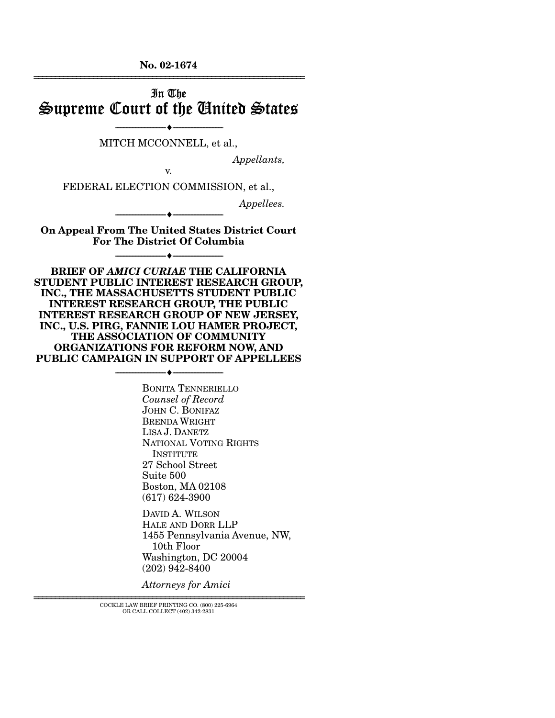**No. 02-1674**  ================================================================

## In The Supreme Court of the United States

----------------------------- ------------------------------ MITCH MCCONNELL, et al.,

*Appellants,* 

v.

----♦-- -

----♦-- -

----♦-- -

FEDERAL ELECTION COMMISSION, et al.,

*Appellees.* 

**On Appeal From The United States District Court For The District Of Columbia** 

----------------------------- ------------------------------

----------------------------- ------------------------------

**BRIEF OF** *AMICI CURIAE* **THE CALIFORNIA STUDENT PUBLIC INTEREST RESEARCH GROUP, INC., THE MASSACHUSETTS STUDENT PUBLIC INTEREST RESEARCH GROUP, THE PUBLIC INTEREST RESEARCH GROUP OF NEW JERSEY, INC., U.S. PIRG, FANNIE LOU HAMER PROJECT, THE ASSOCIATION OF COMMUNITY ORGANIZATIONS FOR REFORM NOW, AND PUBLIC CAMPAIGN IN SUPPORT OF APPELLEES** 

----------------------------- ------------------------------

----♦-- -

BONITA TENNERIELLO *Counsel of Record*  JOHN C. BONIFAZ BRENDA WRIGHT LISA J. DANETZ NATIONAL VOTING RIGHTS **INSTITUTE** 27 School Street Suite 500 Boston, MA 02108 (617) 624-3900

DAVID A. WILSON HALE AND DORR LLP 1455 Pennsylvania Avenue, NW, 10th Floor Washington, DC 20004 (202) 942-8400

*Attorneys for Amici* 

================================================================ COCKLE LAW BRIEF PRINTING CO. (800) 225-6964 OR CALL COLLECT (402) 342-2831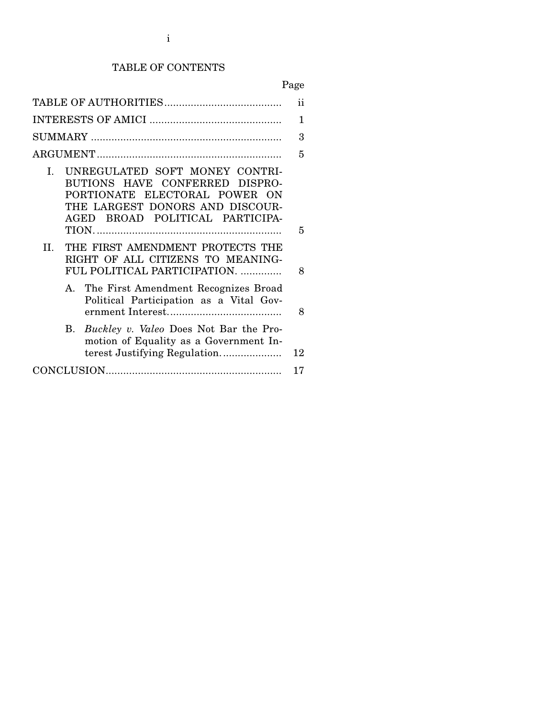### TABLE OF CONTENTS

Page

|                                                                                                                                                                                         | ii |
|-----------------------------------------------------------------------------------------------------------------------------------------------------------------------------------------|----|
|                                                                                                                                                                                         | 1  |
|                                                                                                                                                                                         | 3  |
|                                                                                                                                                                                         | 5  |
| UNREGULATED SOFT MONEY CONTRI-<br>$\mathbf{L}$<br>BUTIONS HAVE CONFERRED DISPRO-<br>PORTIONATE ELECTORAL POWER ON<br>THE LARGEST DONORS AND DISCOUR-<br>AGED BROAD POLITICAL PARTICIPA- | 5  |
| THE FIRST AMENDMENT PROTECTS THE<br>$\Pi$ .<br>RIGHT OF ALL CITIZENS TO MEANING-<br>FUL POLITICAL PARTICIPATION.                                                                        | 8  |
| A. The First Amendment Recognizes Broad<br>Political Participation as a Vital Gov-                                                                                                      | 8  |
| B. Buckley v. Valeo Does Not Bar the Pro-<br>motion of Equality as a Government In-                                                                                                     | 12 |
|                                                                                                                                                                                         | 17 |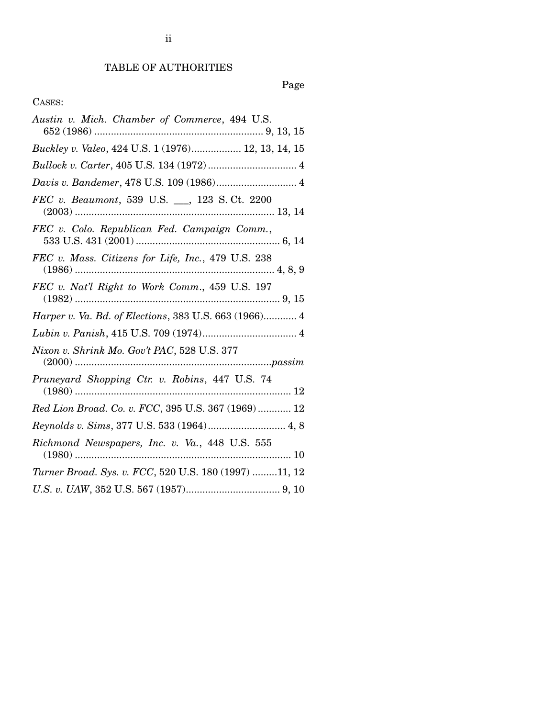### TABLE OF AUTHORITIES

### Page

### CASES:

| Austin v. Mich. Chamber of Commerce, 494 U.S.                                                                                                                                                                                                                                                                                    |
|----------------------------------------------------------------------------------------------------------------------------------------------------------------------------------------------------------------------------------------------------------------------------------------------------------------------------------|
| Buckley v. Valeo, 424 U.S. 1 (1976) 12, 13, 14, 15                                                                                                                                                                                                                                                                               |
|                                                                                                                                                                                                                                                                                                                                  |
| Davis v. Bandemer, 478 U.S. 109 (1986) 4                                                                                                                                                                                                                                                                                         |
| FEC v. Beaumont, 539 U.S. __, 123 S.Ct. 2200                                                                                                                                                                                                                                                                                     |
| FEC v. Colo. Republican Fed. Campaign Comm.,                                                                                                                                                                                                                                                                                     |
| FEC v. Mass. Citizens for Life, Inc., 479 U.S. 238                                                                                                                                                                                                                                                                               |
| FEC v. Nat'l Right to Work Comm., 459 U.S. 197                                                                                                                                                                                                                                                                                   |
| Harper v. Va. Bd. of Elections, 383 U.S. 663 (1966) 4                                                                                                                                                                                                                                                                            |
|                                                                                                                                                                                                                                                                                                                                  |
| Nixon v. Shrink Mo. Gov't PAC, 528 U.S. 377<br>$(2000) \hspace{0.05cm} . \hspace{0.05cm} . \hspace{0.05cm} . \hspace{0.05cm} . \hspace{0.05cm} . \hspace{0.05cm} . \hspace{0.05cm} \hspace{0.05cm} . \hspace{0.05cm} \hspace{0.05cm} . \hspace{0.05cm} . \hspace{0.05cm} \hspace{0.05cm} . \hspace{0.05cm} \overline{a} s s i m$ |
| $\begin{tabular}{ll} \bf \textit{Pruneyard}\ \textit{Shopping}\ \textit{Ctr.}\ v.\ \textit{Robins}\ \textit{, } 447\ \text{U.S.}\ \textit{74} \\ \hline \end{tabular} \vspace{5pt} \begin{tabular}{ll} \hline \textit{1980}\ \textit{} \\ \hline \end{tabular}$                                                                  |
| Red Lion Broad. Co. v. FCC, 395 U.S. 367 (1969)  12                                                                                                                                                                                                                                                                              |
| Reynolds v. Sims, 377 U.S. 533 (1964) 4, 8                                                                                                                                                                                                                                                                                       |
| Richmond Newspapers, Inc. v. Va., 448 U.S. 555                                                                                                                                                                                                                                                                                   |
| Turner Broad. Sys. v. FCC, 520 U.S. 180 (1997) 11, 12                                                                                                                                                                                                                                                                            |
|                                                                                                                                                                                                                                                                                                                                  |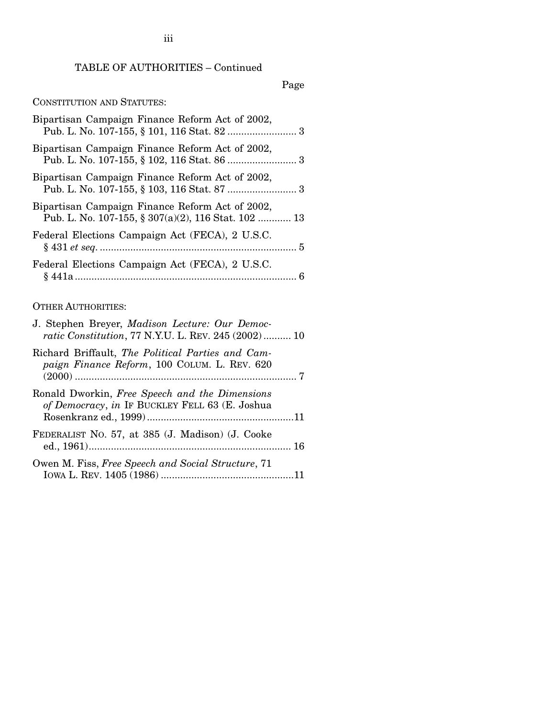### TABLE OF AUTHORITIES – Continued

### Page

### CONSTITUTION AND STATUTES:

| Bipartisan Campaign Finance Reform Act of 2002,                                                        |
|--------------------------------------------------------------------------------------------------------|
| Bipartisan Campaign Finance Reform Act of 2002,                                                        |
| Bipartisan Campaign Finance Reform Act of 2002,                                                        |
| Bipartisan Campaign Finance Reform Act of 2002,<br>Pub. L. No. 107-155, § 307(a)(2), 116 Stat. 102  13 |
| Federal Elections Campaign Act (FECA), 2 U.S.C.                                                        |
| Federal Elections Campaign Act (FECA), 2 U.S.C.                                                        |

### OTHER AUTHORITIES:

| J. Stephen Breyer, Madison Lecture: Our Democ-<br><i>ratic Constitution, 77 N.Y.U. L. REV. 245 (2002)</i> 10 |
|--------------------------------------------------------------------------------------------------------------|
| Richard Briffault, The Political Parties and Cam-<br>paign Finance Reform, 100 COLUM. L. REV. 620            |
| Ronald Dworkin, Free Speech and the Dimensions<br>of Democracy, in IF BUCKLEY FELL 63 (E. Joshua             |
| FEDERALIST NO. 57, at 385 (J. Madison) (J. Cooke                                                             |
| Owen M. Fiss, Free Speech and Social Structure, 71                                                           |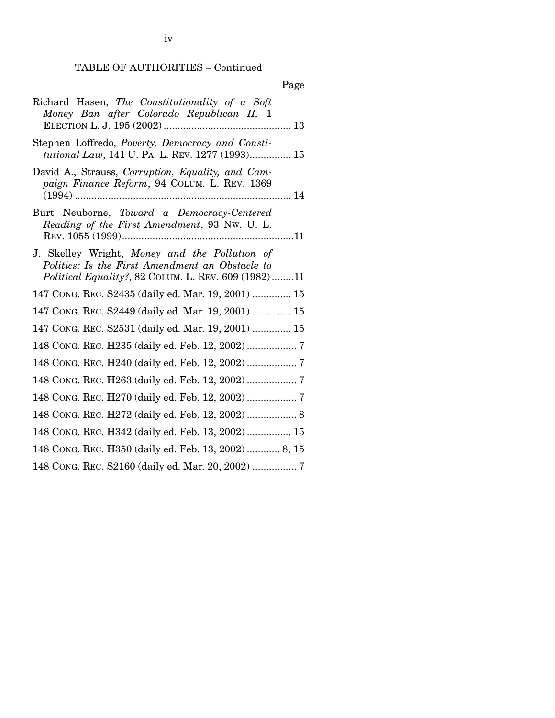TABLE OF AUTHORITIES – Continued

| Page                                                                                                                                                    |
|---------------------------------------------------------------------------------------------------------------------------------------------------------|
| Richard Hasen, The Constitutionality of a Soft<br>Money Ban after Colorado Republican II, 1                                                             |
| Stephen Loffredo, Poverty, Democracy and Consti-<br>tutional Law, 141 U. PA. L. REV. 1277 (1993) 15                                                     |
| David A., Strauss, Corruption, Equality, and Cam-<br>paign Finance Reform, 94 COLUM. L. REV. 1369                                                       |
| Burt Neuborne, Toward a Democracy-Centered<br>Reading of the First Amendment, 93 Nw. U. L.                                                              |
| J. Skelley Wright, Money and the Pollution of<br>Politics: Is the First Amendment an Obstacle to<br>Political Equality?, 82 COLUM. L. REV. 609 (1982)11 |
| 147 CONG. REC. S2435 (daily ed. Mar. 19, 2001)  15                                                                                                      |
| 147 CONG. REC. S2449 (daily ed. Mar. 19, 2001)  15                                                                                                      |
| 147 CONG. REC. S2531 (daily ed. Mar. 19, 2001)  15                                                                                                      |
| 148 CONG. REC. H235 (daily ed. Feb. 12, 2002)  7                                                                                                        |
|                                                                                                                                                         |
|                                                                                                                                                         |
|                                                                                                                                                         |
| 148 CONG. REC. H272 (daily ed. Feb. 12, 2002)  8                                                                                                        |
| 148 CONG. REC. H342 (daily ed. Feb. 13, 2002)  15                                                                                                       |
| 148 CONG. REC. H350 (daily ed. Feb. 13, 2002)  8, 15                                                                                                    |
|                                                                                                                                                         |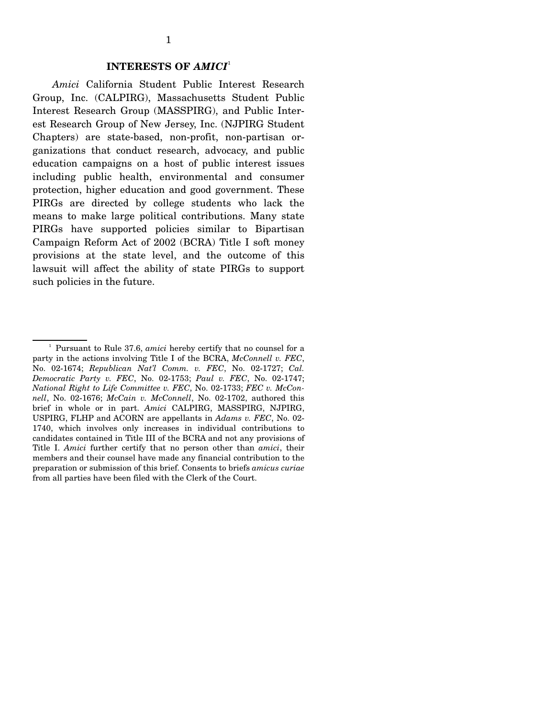#### **INTERESTS OF** *AMICI*<sup>1</sup>

*Amici* California Student Public Interest Research Group, Inc. (CALPIRG), Massachusetts Student Public Interest Research Group (MASSPIRG), and Public Interest Research Group of New Jersey, Inc. (NJPIRG Student Chapters) are state-based, non-profit, non-partisan organizations that conduct research, advocacy, and public education campaigns on a host of public interest issues including public health, environmental and consumer protection, higher education and good government. These PIRGs are directed by college students who lack the means to make large political contributions. Many state PIRGs have supported policies similar to Bipartisan Campaign Reform Act of 2002 (BCRA) Title I soft money provisions at the state level, and the outcome of this lawsuit will affect the ability of state PIRGs to support such policies in the future.

<sup>1</sup> Pursuant to Rule 37.6, *amici* hereby certify that no counsel for a party in the actions involving Title I of the BCRA, *McConnell v. FEC*, No. 02-1674; *Republican Nat'l Comm. v. FEC*, No. 02-1727; *Cal. Democratic Party v. FEC*, No. 02-1753; *Paul v. FEC*, No. 02-1747; *National Right to Life Committee v. FEC*, No. 02-1733; *FEC v. McConnell*, No. 02-1676; *McCain v. McConnell*, No. 02-1702, authored this brief in whole or in part. *Amici* CALPIRG, MASSPIRG, NJPIRG, USPIRG, FLHP and ACORN are appellants in *Adams v. FEC*, No. 02- 1740, which involves only increases in individual contributions to candidates contained in Title III of the BCRA and not any provisions of Title I. *Amici* further certify that no person other than *amici*, their members and their counsel have made any financial contribution to the preparation or submission of this brief. Consents to briefs *amicus curiae*  from all parties have been filed with the Clerk of the Court.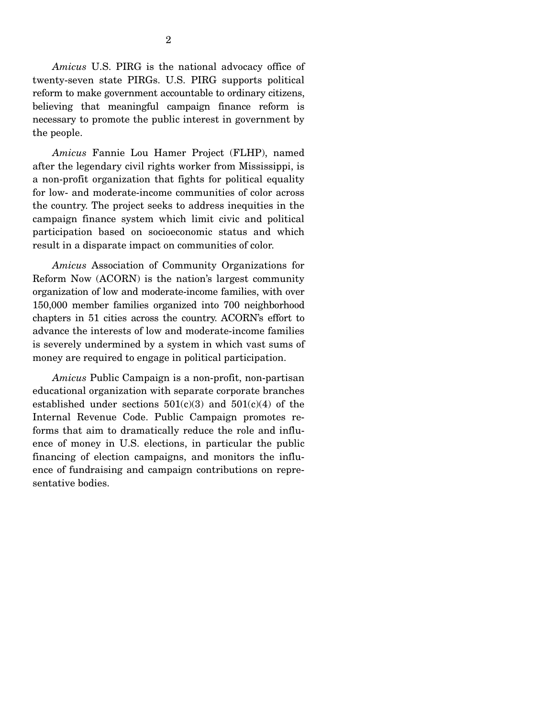*Amicus* U.S. PIRG is the national advocacy office of twenty-seven state PIRGs. U.S. PIRG supports political reform to make government accountable to ordinary citizens, believing that meaningful campaign finance reform is necessary to promote the public interest in government by the people.

*Amicus* Fannie Lou Hamer Project (FLHP), named after the legendary civil rights worker from Mississippi, is a non-profit organization that fights for political equality for low- and moderate-income communities of color across the country. The project seeks to address inequities in the campaign finance system which limit civic and political participation based on socioeconomic status and which result in a disparate impact on communities of color.

*Amicus* Association of Community Organizations for Reform Now (ACORN) is the nation's largest community organization of low and moderate-income families, with over 150,000 member families organized into 700 neighborhood chapters in 51 cities across the country. ACORN's effort to advance the interests of low and moderate-income families is severely undermined by a system in which vast sums of money are required to engage in political participation.

*Amicus* Public Campaign is a non-profit, non-partisan educational organization with separate corporate branches established under sections  $501(c)(3)$  and  $501(c)(4)$  of the Internal Revenue Code. Public Campaign promotes reforms that aim to dramatically reduce the role and influence of money in U.S. elections, in particular the public financing of election campaigns, and monitors the influence of fundraising and campaign contributions on representative bodies.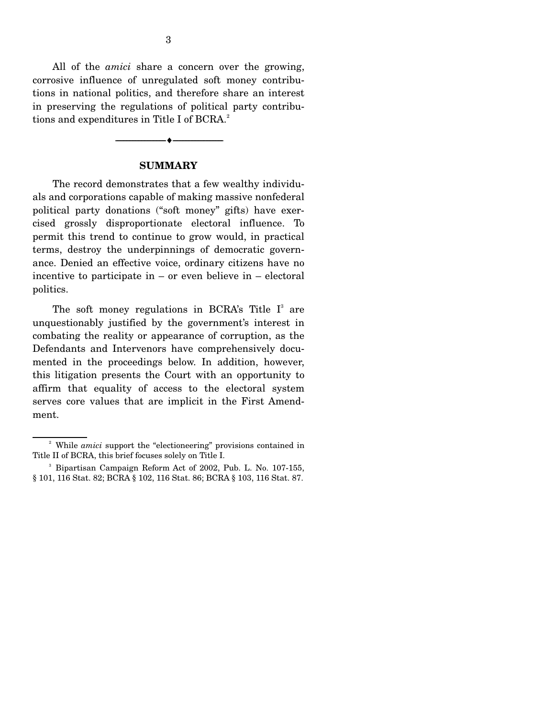All of the *amici* share a concern over the growing, corrosive influence of unregulated soft money contributions in national politics, and therefore share an interest in preserving the regulations of political party contributions and expenditures in Title I of BCRA.<sup>2</sup>

# ----------------------------- ------------------------------ **SUMMARY**

----♦-- -

The record demonstrates that a few wealthy individuals and corporations capable of making massive nonfederal political party donations ("soft money" gifts) have exercised grossly disproportionate electoral influence. To permit this trend to continue to grow would, in practical terms, destroy the underpinnings of democratic governance. Denied an effective voice, ordinary citizens have no incentive to participate in – or even believe in – electoral politics.

The soft money regulations in BCRA's Title  $I^3$  are unquestionably justified by the government's interest in combating the reality or appearance of corruption, as the Defendants and Intervenors have comprehensively documented in the proceedings below. In addition, however, this litigation presents the Court with an opportunity to affirm that equality of access to the electoral system serves core values that are implicit in the First Amendment.

<sup>&</sup>lt;sup>2</sup> While *amici* support the "electioneering" provisions contained in Title II of BCRA, this brief focuses solely on Title I.

<sup>3</sup> Bipartisan Campaign Reform Act of 2002, Pub. L. No. 107-155, § 101, 116 Stat. 82; BCRA § 102, 116 Stat. 86; BCRA § 103, 116 Stat. 87.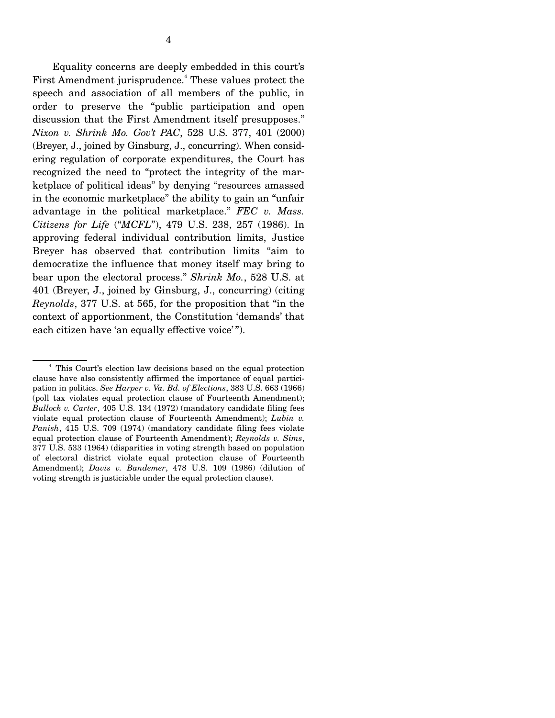Equality concerns are deeply embedded in this court's First Amendment jurisprudence.<sup>4</sup> These values protect the speech and association of all members of the public, in order to preserve the "public participation and open discussion that the First Amendment itself presupposes." *Nixon v. Shrink Mo. Gov't PAC*, 528 U.S. 377, 401 (2000) (Breyer, J., joined by Ginsburg, J., concurring). When considering regulation of corporate expenditures, the Court has recognized the need to "protect the integrity of the marketplace of political ideas" by denying "resources amassed in the economic marketplace" the ability to gain an "unfair advantage in the political marketplace." *FEC v. Mass. Citizens for Life* ("*MCFL*"), 479 U.S. 238, 257 (1986). In approving federal individual contribution limits, Justice Breyer has observed that contribution limits "aim to democratize the influence that money itself may bring to bear upon the electoral process." *Shrink Mo.*, 528 U.S. at 401 (Breyer, J., joined by Ginsburg, J., concurring) (citing *Reynolds*, 377 U.S. at 565, for the proposition that "in the context of apportionment, the Constitution 'demands' that each citizen have 'an equally effective voice'".

<sup>4</sup> This Court's election law decisions based on the equal protection clause have also consistently affirmed the importance of equal participation in politics. *See Harper v. Va. Bd. of Elections*, 383 U.S. 663 (1966) (poll tax violates equal protection clause of Fourteenth Amendment); *Bullock v. Carter*, 405 U.S. 134 (1972) (mandatory candidate filing fees violate equal protection clause of Fourteenth Amendment); *Lubin v. Panish*, 415 U.S. 709 (1974) (mandatory candidate filing fees violate equal protection clause of Fourteenth Amendment); *Reynolds v. Sims*, 377 U.S. 533 (1964) (disparities in voting strength based on population of electoral district violate equal protection clause of Fourteenth Amendment); *Davis v. Bandemer*, 478 U.S. 109 (1986) (dilution of voting strength is justiciable under the equal protection clause).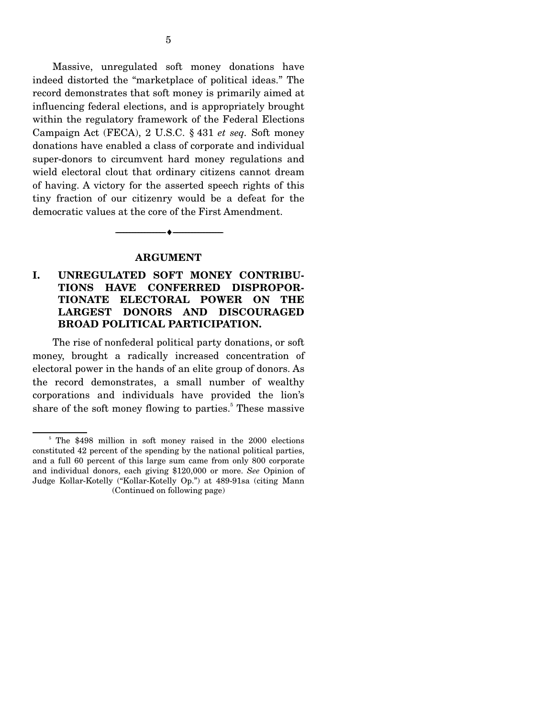Massive, unregulated soft money donations have indeed distorted the "marketplace of political ideas." The record demonstrates that soft money is primarily aimed at influencing federal elections, and is appropriately brought within the regulatory framework of the Federal Elections Campaign Act (FECA), 2 U.S.C. § 431 *et seq.* Soft money donations have enabled a class of corporate and individual super-donors to circumvent hard money regulations and wield electoral clout that ordinary citizens cannot dream of having. A victory for the asserted speech rights of this tiny fraction of our citizenry would be a defeat for the democratic values at the core of the First Amendment.

#### **ARGUMENT**

----------------------------- ------------------------------

----♦-- -

#### **I. UNREGULATED SOFT MONEY CONTRIBU-TIONS HAVE CONFERRED DISPROPOR-TIONATE ELECTORAL POWER ON THE LARGEST DONORS AND DISCOURAGED BROAD POLITICAL PARTICIPATION.**

The rise of nonfederal political party donations, or soft money, brought a radically increased concentration of electoral power in the hands of an elite group of donors. As the record demonstrates, a small number of wealthy corporations and individuals have provided the lion's share of the soft money flowing to parties.<sup>5</sup> These massive

<sup>&</sup>lt;sup>5</sup> The \$498 million in soft money raised in the 2000 elections constituted 42 percent of the spending by the national political parties, and a full 60 percent of this large sum came from only 800 corporate and individual donors, each giving \$120,000 or more. *See* Opinion of Judge Kollar-Kotelly ("Kollar-Kotelly Op.") at 489-91sa (citing Mann (Continued on following page)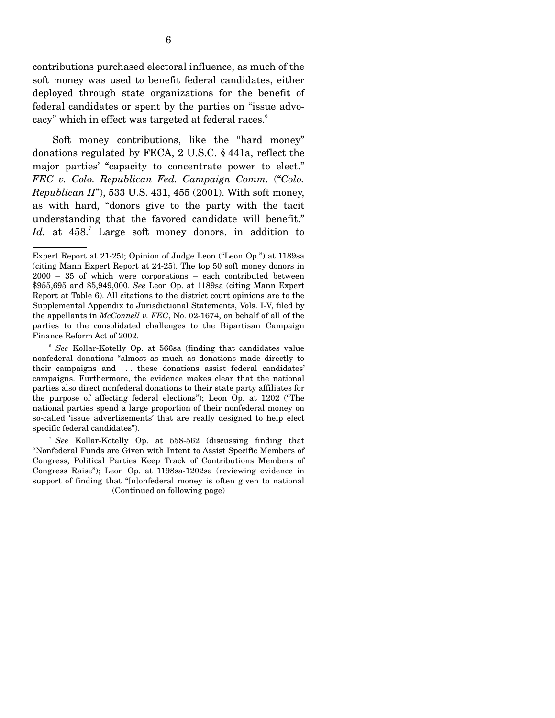contributions purchased electoral influence, as much of the soft money was used to benefit federal candidates, either deployed through state organizations for the benefit of federal candidates or spent by the parties on "issue advocacy" which in effect was targeted at federal races.<sup>6</sup>

Soft money contributions, like the "hard money" donations regulated by FECA, 2 U.S.C. § 441a, reflect the major parties' "capacity to concentrate power to elect." *FEC v. Colo. Republican Fed. Campaign Comm.* ("*Colo. Republican II*"), 533 U.S. 431, 455 (2001). With soft money, as with hard, "donors give to the party with the tacit understanding that the favored candidate will benefit." Id. at 458.<sup>7</sup> Large soft money donors, in addition to

Expert Report at 21-25); Opinion of Judge Leon ("Leon Op.") at 1189sa (citing Mann Expert Report at 24-25). The top 50 soft money donors in 2000 – 35 of which were corporations – each contributed between \$955,695 and \$5,949,000. *See* Leon Op. at 1189sa (citing Mann Expert Report at Table 6). All citations to the district court opinions are to the Supplemental Appendix to Jurisdictional Statements, Vols. I-V, filed by the appellants in *McConnell v. FEC*, No. 02-1674, on behalf of all of the parties to the consolidated challenges to the Bipartisan Campaign Finance Reform Act of 2002.

<sup>6</sup>*See* Kollar-Kotelly Op. at 566sa (finding that candidates value nonfederal donations "almost as much as donations made directly to their campaigns and . . . these donations assist federal candidates' campaigns. Furthermore, the evidence makes clear that the national parties also direct nonfederal donations to their state party affiliates for the purpose of affecting federal elections"); Leon Op. at 1202 ("The national parties spend a large proportion of their nonfederal money on so-called 'issue advertisements' that are really designed to help elect specific federal candidates").

<sup>7</sup>*See* Kollar-Kotelly Op. at 558-562 (discussing finding that "Nonfederal Funds are Given with Intent to Assist Specific Members of Congress; Political Parties Keep Track of Contributions Members of Congress Raise"); Leon Op. at 1198sa-1202sa (reviewing evidence in support of finding that "[n]onfederal money is often given to national (Continued on following page)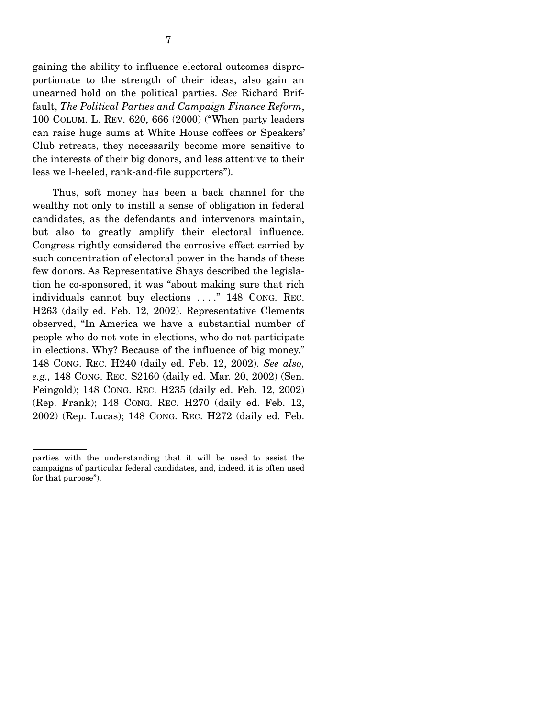gaining the ability to influence electoral outcomes disproportionate to the strength of their ideas, also gain an unearned hold on the political parties. *See* Richard Briffault, *The Political Parties and Campaign Finance Reform*, 100 COLUM. L. REV. 620, 666 (2000) ("When party leaders can raise huge sums at White House coffees or Speakers' Club retreats, they necessarily become more sensitive to the interests of their big donors, and less attentive to their less well-heeled, rank-and-file supporters").

Thus, soft money has been a back channel for the wealthy not only to instill a sense of obligation in federal candidates, as the defendants and intervenors maintain, but also to greatly amplify their electoral influence. Congress rightly considered the corrosive effect carried by such concentration of electoral power in the hands of these few donors. As Representative Shays described the legislation he co-sponsored, it was "about making sure that rich individuals cannot buy elections . . . ." 148 CONG. REC. H263 (daily ed. Feb. 12, 2002). Representative Clements observed, "In America we have a substantial number of people who do not vote in elections, who do not participate in elections. Why? Because of the influence of big money." 148 CONG. REC. H240 (daily ed. Feb. 12, 2002). *See also, e.g.,* 148 CONG. REC. S2160 (daily ed. Mar. 20, 2002) (Sen. Feingold); 148 CONG. REC. H235 (daily ed. Feb. 12, 2002) (Rep. Frank); 148 CONG. REC. H270 (daily ed. Feb. 12, 2002) (Rep. Lucas); 148 CONG. REC. H272 (daily ed. Feb.

parties with the understanding that it will be used to assist the campaigns of particular federal candidates, and, indeed, it is often used for that purpose").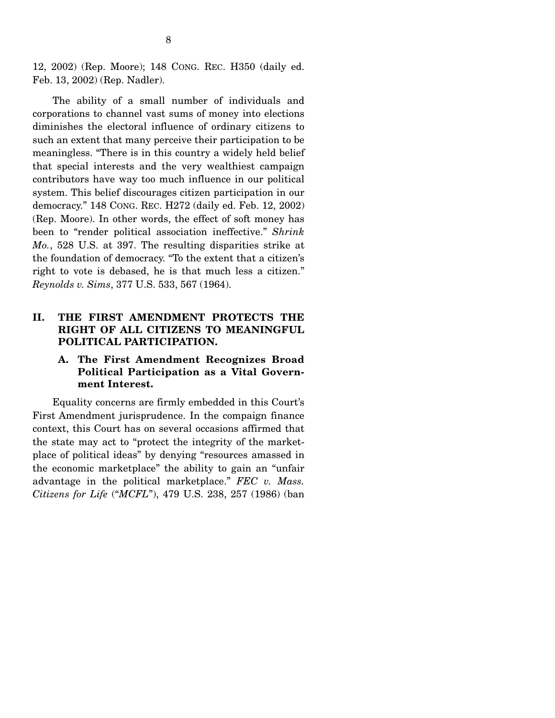12, 2002) (Rep. Moore); 148 CONG. REC. H350 (daily ed. Feb. 13, 2002) (Rep. Nadler).

The ability of a small number of individuals and corporations to channel vast sums of money into elections diminishes the electoral influence of ordinary citizens to such an extent that many perceive their participation to be meaningless. "There is in this country a widely held belief that special interests and the very wealthiest campaign contributors have way too much influence in our political system. This belief discourages citizen participation in our democracy." 148 CONG. REC. H272 (daily ed. Feb. 12, 2002) (Rep. Moore). In other words, the effect of soft money has been to "render political association ineffective." *Shrink Mo.*, 528 U.S. at 397. The resulting disparities strike at the foundation of democracy. "To the extent that a citizen's right to vote is debased, he is that much less a citizen." *Reynolds v. Sims*, 377 U.S. 533, 567 (1964).

#### **II. THE FIRST AMENDMENT PROTECTS THE RIGHT OF ALL CITIZENS TO MEANINGFUL POLITICAL PARTICIPATION.**

#### **A. The First Amendment Recognizes Broad Political Participation as a Vital Government Interest.**

Equality concerns are firmly embedded in this Court's First Amendment jurisprudence. In the compaign finance context, this Court has on several occasions affirmed that the state may act to "protect the integrity of the marketplace of political ideas" by denying "resources amassed in the economic marketplace" the ability to gain an "unfair advantage in the political marketplace." *FEC v. Mass. Citizens for Life* ("*MCFL*"), 479 U.S. 238, 257 (1986) (ban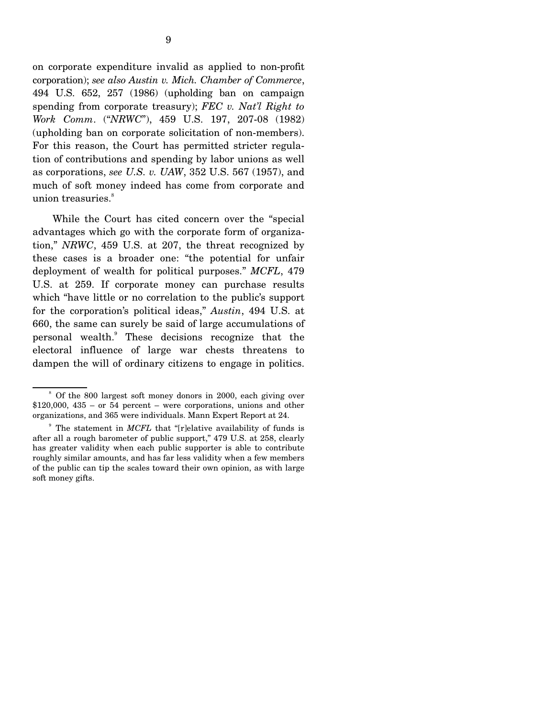on corporate expenditure invalid as applied to non-profit corporation); *see also Austin v. Mich. Chamber of Commerce*, 494 U.S. 652, 257 (1986) (upholding ban on campaign spending from corporate treasury); *FEC v. Nat'l Right to Work Comm*. ("*NRWC*"), 459 U.S. 197, 207-08 (1982) (upholding ban on corporate solicitation of non-members). For this reason, the Court has permitted stricter regulation of contributions and spending by labor unions as well as corporations, *see U.S. v. UAW*, 352 U.S. 567 (1957), and much of soft money indeed has come from corporate and union treasuries.<sup>8</sup>

While the Court has cited concern over the "special advantages which go with the corporate form of organization," *NRWC*, 459 U.S. at 207, the threat recognized by these cases is a broader one: "the potential for unfair deployment of wealth for political purposes." *MCFL*, 479 U.S. at 259. If corporate money can purchase results which "have little or no correlation to the public's support for the corporation's political ideas," *Austin*, 494 U.S. at 660, the same can surely be said of large accumulations of personal wealth. These decisions recognize that the electoral influence of large war chests threatens to dampen the will of ordinary citizens to engage in politics.

<sup>&</sup>lt;sup>8</sup> Of the 800 largest soft money donors in 2000, each giving over  $$120,000, 435 - or 54 percent - were corporations, unions and other$ organizations, and 365 were individuals. Mann Expert Report at 24.

<sup>&</sup>lt;sup>9</sup> The statement in *MCFL* that "[r]elative availability of funds is after all a rough barometer of public support," 479 U.S. at 258, clearly has greater validity when each public supporter is able to contribute roughly similar amounts, and has far less validity when a few members of the public can tip the scales toward their own opinion, as with large soft money gifts.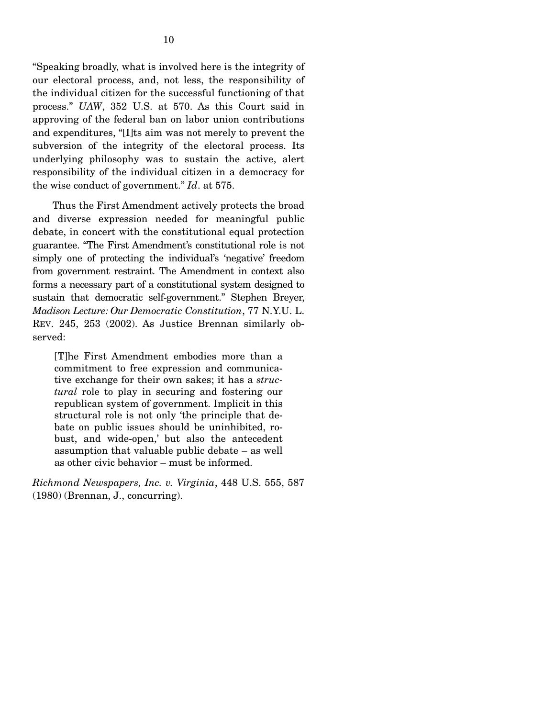"Speaking broadly, what is involved here is the integrity of our electoral process, and, not less, the responsibility of the individual citizen for the successful functioning of that process." *UAW*, 352 U.S. at 570. As this Court said in approving of the federal ban on labor union contributions and expenditures, "[I]ts aim was not merely to prevent the subversion of the integrity of the electoral process. Its underlying philosophy was to sustain the active, alert responsibility of the individual citizen in a democracy for the wise conduct of government." *Id*. at 575.

Thus the First Amendment actively protects the broad and diverse expression needed for meaningful public debate, in concert with the constitutional equal protection guarantee. "The First Amendment's constitutional role is not simply one of protecting the individual's 'negative' freedom from government restraint. The Amendment in context also forms a necessary part of a constitutional system designed to sustain that democratic self-government." Stephen Breyer, *Madison Lecture: Our Democratic Constitution*, 77 N.Y.U. L. REV. 245, 253 (2002). As Justice Brennan similarly observed:

[T]he First Amendment embodies more than a commitment to free expression and communicative exchange for their own sakes; it has a *structural* role to play in securing and fostering our republican system of government. Implicit in this structural role is not only 'the principle that debate on public issues should be uninhibited, robust, and wide-open,' but also the antecedent assumption that valuable public debate – as well as other civic behavior – must be informed.

*Richmond Newspapers, Inc. v. Virginia*, 448 U.S. 555, 587 (1980) (Brennan, J., concurring).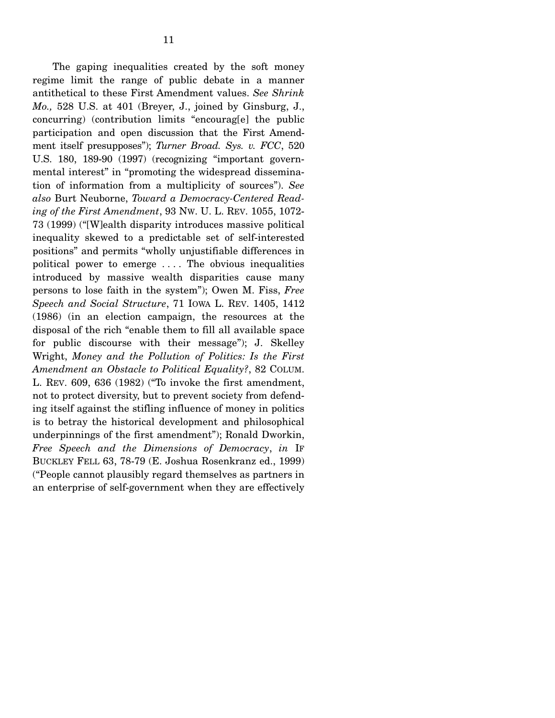The gaping inequalities created by the soft money regime limit the range of public debate in a manner antithetical to these First Amendment values. *See Shrink Mo.,* 528 U.S. at 401 (Breyer, J., joined by Ginsburg, J., concurring) (contribution limits "encourag[e] the public participation and open discussion that the First Amendment itself presupposes"); *Turner Broad. Sys. v. FCC*, 520 U.S. 180, 189-90 (1997) (recognizing "important governmental interest" in "promoting the widespread dissemination of information from a multiplicity of sources"). *See also* Burt Neuborne, *Toward a Democracy-Centered Reading of the First Amendment*, 93 NW. U. L. REV. 1055, 1072- 73 (1999) ("[W]ealth disparity introduces massive political inequality skewed to a predictable set of self-interested positions" and permits "wholly unjustifiable differences in political power to emerge . . . . The obvious inequalities introduced by massive wealth disparities cause many persons to lose faith in the system"); Owen M. Fiss, *Free Speech and Social Structure*, 71 IOWA L. REV. 1405, 1412 (1986) (in an election campaign, the resources at the disposal of the rich "enable them to fill all available space for public discourse with their message"); J. Skelley Wright, *Money and the Pollution of Politics: Is the First Amendment an Obstacle to Political Equality?*, 82 COLUM. L. REV. 609, 636 (1982) ("To invoke the first amendment, not to protect diversity, but to prevent society from defending itself against the stifling influence of money in politics is to betray the historical development and philosophical underpinnings of the first amendment"); Ronald Dworkin, *Free Speech and the Dimensions of Democracy*, *in* IF BUCKLEY FELL 63, 78-79 (E. Joshua Rosenkranz ed., 1999) ("People cannot plausibly regard themselves as partners in an enterprise of self-government when they are effectively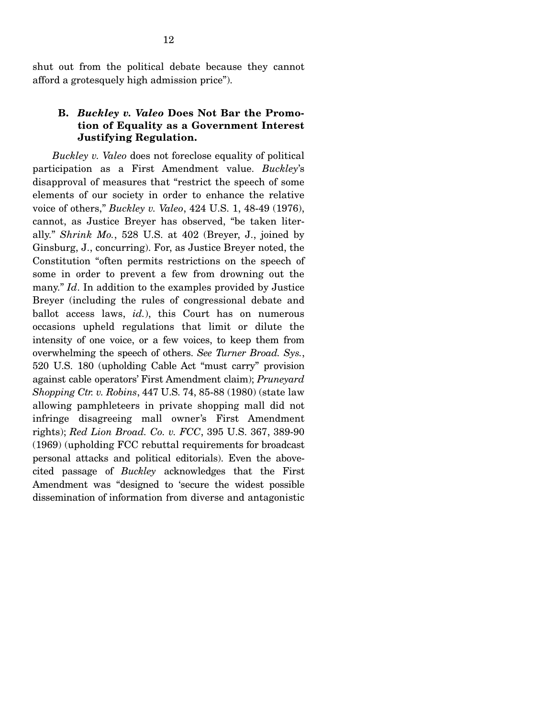shut out from the political debate because they cannot afford a grotesquely high admission price").

#### **B.** *Buckley v. Valeo* **Does Not Bar the Promotion of Equality as a Government Interest Justifying Regulation.**

*Buckley v. Valeo* does not foreclose equality of political participation as a First Amendment value. *Buckley*'s disapproval of measures that "restrict the speech of some elements of our society in order to enhance the relative voice of others," *Buckley v. Valeo*, 424 U.S. 1, 48-49 (1976), cannot, as Justice Breyer has observed, "be taken literally." *Shrink Mo.*, 528 U.S. at 402 (Breyer, J., joined by Ginsburg, J., concurring). For, as Justice Breyer noted, the Constitution "often permits restrictions on the speech of some in order to prevent a few from drowning out the many." *Id*. In addition to the examples provided by Justice Breyer (including the rules of congressional debate and ballot access laws, *id.*), this Court has on numerous occasions upheld regulations that limit or dilute the intensity of one voice, or a few voices, to keep them from overwhelming the speech of others. *See Turner Broad. Sys.*, 520 U.S. 180 (upholding Cable Act "must carry" provision against cable operators' First Amendment claim); *Pruneyard Shopping Ctr. v. Robins*, 447 U.S. 74, 85-88 (1980) (state law allowing pamphleteers in private shopping mall did not infringe disagreeing mall owner's First Amendment rights); *Red Lion Broad. Co. v. FCC*, 395 U.S. 367, 389-90 (1969) (upholding FCC rebuttal requirements for broadcast personal attacks and political editorials). Even the abovecited passage of *Buckley* acknowledges that the First Amendment was "designed to 'secure the widest possible dissemination of information from diverse and antagonistic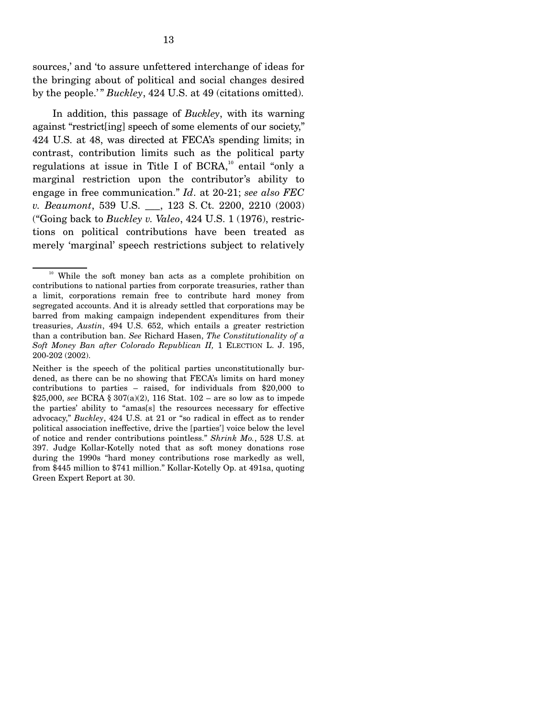sources,' and 'to assure unfettered interchange of ideas for the bringing about of political and social changes desired by the people.'" *Buckley*, 424 U.S. at 49 (citations omitted).

In addition, this passage of *Buckley*, with its warning against "restrict[ing] speech of some elements of our society," 424 U.S. at 48, was directed at FECA's spending limits; in contrast, contribution limits such as the political party regulations at issue in Title I of BCRA,<sup>10</sup> entail "only a marginal restriction upon the contributor's ability to engage in free communication." *Id*. at 20-21; *see also FEC v. Beaumont*, 539 U.S. \_\_\_, 123 S. Ct. 2200, 2210 (2003) ("Going back to *Buckley v. Valeo*, 424 U.S. 1 (1976), restrictions on political contributions have been treated as merely 'marginal' speech restrictions subject to relatively

<sup>&</sup>lt;sup>10</sup> While the soft money ban acts as a complete prohibition on contributions to national parties from corporate treasuries, rather than a limit, corporations remain free to contribute hard money from segregated accounts. And it is already settled that corporations may be barred from making campaign independent expenditures from their treasuries, *Austin*, 494 U.S. 652, which entails a greater restriction than a contribution ban. *See* Richard Hasen, *The Constitutionality of a Soft Money Ban after Colorado Republican II,* 1 ELECTION L. J. 195, 200-202 (2002).

Neither is the speech of the political parties unconstitutionally burdened, as there can be no showing that FECA's limits on hard money contributions to parties – raised, for individuals from \$20,000 to \$25,000, *see* BCRA § 307(a)(2), 116 Stat. 102 – are so low as to impede the parties' ability to "amas[s] the resources necessary for effective advocacy," *Buckley*, 424 U.S. at 21 or "so radical in effect as to render political association ineffective, drive the [parties'] voice below the level of notice and render contributions pointless." *Shrink Mo.*, 528 U.S. at 397. Judge Kollar-Kotelly noted that as soft money donations rose during the 1990s "hard money contributions rose markedly as well, from \$445 million to \$741 million." Kollar-Kotelly Op. at 491sa, quoting Green Expert Report at 30.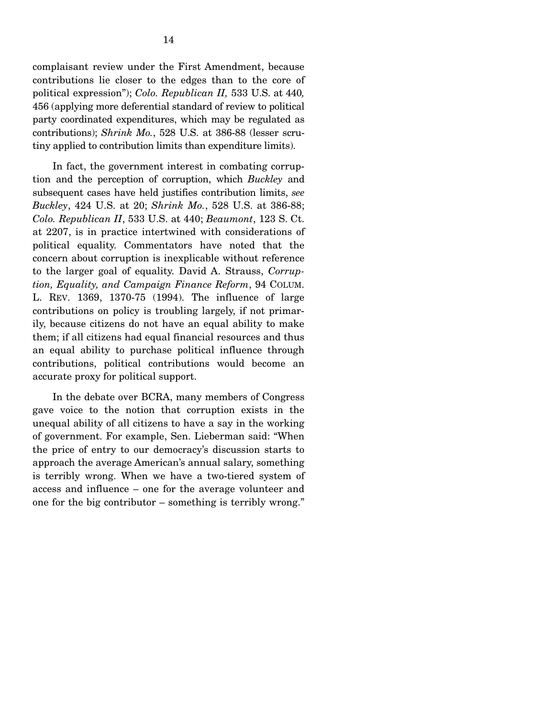complaisant review under the First Amendment, because contributions lie closer to the edges than to the core of political expression"); *Colo. Republican II,* 533 U.S. at 440*,*  456 (applying more deferential standard of review to political party coordinated expenditures, which may be regulated as contributions); *Shrink Mo.*, 528 U.S. at 386-88 (lesser scrutiny applied to contribution limits than expenditure limits).

In fact, the government interest in combating corruption and the perception of corruption, which *Buckley* and subsequent cases have held justifies contribution limits, *see Buckley*, 424 U.S. at 20; *Shrink Mo.*, 528 U.S. at 386-88; *Colo. Republican II*, 533 U.S. at 440; *Beaumont*, 123 S. Ct. at 2207, is in practice intertwined with considerations of political equality. Commentators have noted that the concern about corruption is inexplicable without reference to the larger goal of equality. David A. Strauss, *Corruption, Equality, and Campaign Finance Reform*, 94 COLUM. L. REV. 1369, 1370-75 (1994). The influence of large contributions on policy is troubling largely, if not primarily, because citizens do not have an equal ability to make them; if all citizens had equal financial resources and thus an equal ability to purchase political influence through contributions, political contributions would become an accurate proxy for political support.

In the debate over BCRA, many members of Congress gave voice to the notion that corruption exists in the unequal ability of all citizens to have a say in the working of government. For example, Sen. Lieberman said: "When the price of entry to our democracy's discussion starts to approach the average American's annual salary, something is terribly wrong. When we have a two-tiered system of access and influence – one for the average volunteer and one for the big contributor – something is terribly wrong."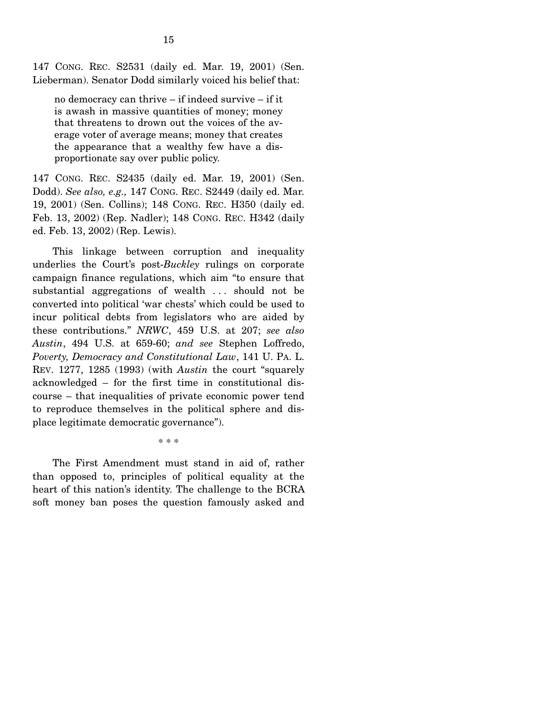147 CONG. REC. S2531 (daily ed. Mar. 19, 2001) (Sen. Lieberman). Senator Dodd similarly voiced his belief that:

no democracy can thrive – if indeed survive – if it is awash in massive quantities of money; money that threatens to drown out the voices of the average voter of average means; money that creates the appearance that a wealthy few have a disproportionate say over public policy.

147 CONG. REC. S2435 (daily ed. Mar. 19, 2001) (Sen. Dodd). *See also, e.g.,* 147 CONG. REC. S2449 (daily ed. Mar. 19, 2001) (Sen. Collins); 148 CONG. REC. H350 (daily ed. Feb. 13, 2002) (Rep. Nadler); 148 CONG. REC. H342 (daily ed. Feb. 13, 2002) (Rep. Lewis).

This linkage between corruption and inequality underlies the Court's post-*Buckley* rulings on corporate campaign finance regulations, which aim "to ensure that substantial aggregations of wealth ... should not be converted into political 'war chests' which could be used to incur political debts from legislators who are aided by these contributions." *NRWC*, 459 U.S. at 207; *see also Austin*, 494 U.S. at 659-60; *and see* Stephen Loffredo, *Poverty, Democracy and Constitutional Law*, 141 U. PA. L. REV. 1277, 1285 (1993) (with *Austin* the court "squarely acknowledged – for the first time in constitutional discourse – that inequalities of private economic power tend to reproduce themselves in the political sphere and displace legitimate democratic governance").

\* \* \*

The First Amendment must stand in aid of, rather than opposed to, principles of political equality at the heart of this nation's identity. The challenge to the BCRA soft money ban poses the question famously asked and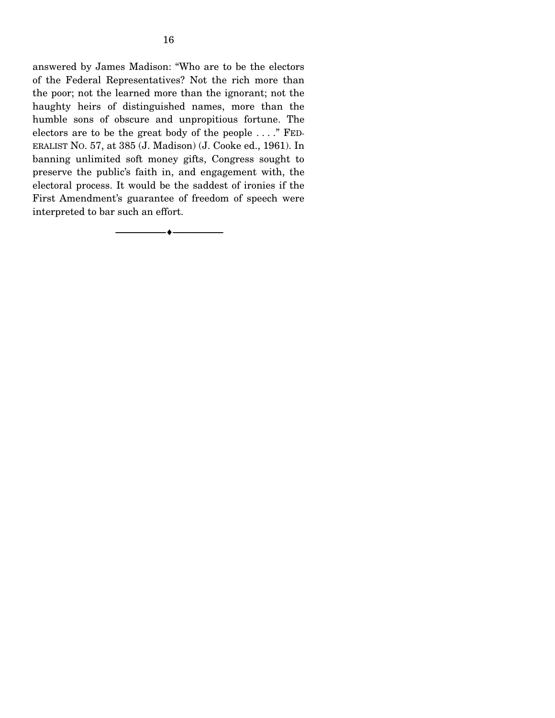answered by James Madison: "Who are to be the electors of the Federal Representatives? Not the rich more than the poor; not the learned more than the ignorant; not the haughty heirs of distinguished names, more than the humble sons of obscure and unpropitious fortune. The electors are to be the great body of the people . . . ." FED-ERALIST NO. 57, at 385 (J. Madison) (J. Cooke ed., 1961). In banning unlimited soft money gifts, Congress sought to preserve the public's faith in, and engagement with, the electoral process. It would be the saddest of ironies if the First Amendment's guarantee of freedom of speech were interpreted to bar such an effort.

----------------------------- ------------------------------

----♦-- -